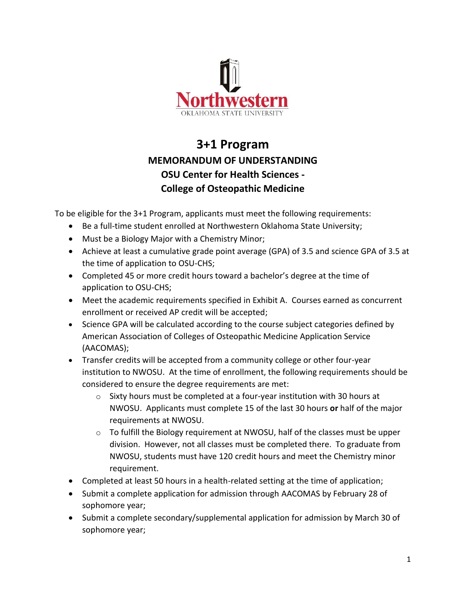

## **3+1 Program MEMORANDUM OF UNDERSTANDING OSU Center for Health Sciences - College of Osteopathic Medicine**

To be eligible for the 3+1 Program, applicants must meet the following requirements:

- Be a full-time student enrolled at Northwestern Oklahoma State University;
- Must be a Biology Major with a Chemistry Minor;
- Achieve at least a cumulative grade point average (GPA) of 3.5 and science GPA of 3.5 at the time of application to OSU-CHS;
- Completed 45 or more credit hours toward a bachelor's degree at the time of application to OSU-CHS;
- Meet the academic requirements specified in Exhibit A. Courses earned as concurrent enrollment or received AP credit will be accepted;
- Science GPA will be calculated according to the course subject categories defined by American Association of Colleges of Osteopathic Medicine Application Service (AACOMAS);
- Transfer credits will be accepted from a community college or other four-year institution to NWOSU. At the time of enrollment, the following requirements should be considered to ensure the degree requirements are met:
	- $\circ$  Sixty hours must be completed at a four-year institution with 30 hours at NWOSU. Applicants must complete 15 of the last 30 hours **or** half of the major requirements at NWOSU.
	- $\circ$  To fulfill the Biology requirement at NWOSU, half of the classes must be upper division. However, not all classes must be completed there. To graduate from NWOSU, students must have 120 credit hours and meet the Chemistry minor requirement.
- Completed at least 50 hours in a health-related setting at the time of application;
- Submit a complete application for admission through AACOMAS by February 28 of sophomore year;
- Submit a complete secondary/supplemental application for admission by March 30 of sophomore year;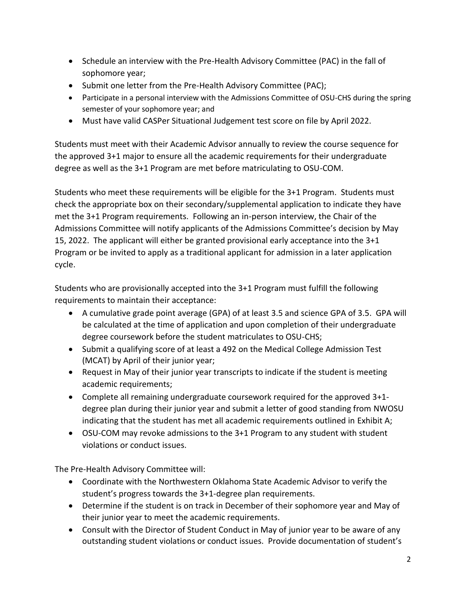- Schedule an interview with the Pre-Health Advisory Committee (PAC) in the fall of sophomore year;
- Submit one letter from the Pre-Health Advisory Committee (PAC);
- Participate in a personal interview with the Admissions Committee of OSU-CHS during the spring semester of your sophomore year; and
- Must have valid CASPer Situational Judgement test score on file by April 2022.

Students must meet with their Academic Advisor annually to review the course sequence for the approved 3+1 major to ensure all the academic requirements for their undergraduate degree as well as the 3+1 Program are met before matriculating to OSU-COM.

Students who meet these requirements will be eligible for the 3+1 Program. Students must check the appropriate box on their secondary/supplemental application to indicate they have met the 3+1 Program requirements. Following an in-person interview, the Chair of the Admissions Committee will notify applicants of the Admissions Committee's decision by May 15, 2022. The applicant will either be granted provisional early acceptance into the 3+1 Program or be invited to apply as a traditional applicant for admission in a later application cycle.

Students who are provisionally accepted into the 3+1 Program must fulfill the following requirements to maintain their acceptance:

- A cumulative grade point average (GPA) of at least 3.5 and science GPA of 3.5. GPA will be calculated at the time of application and upon completion of their undergraduate degree coursework before the student matriculates to OSU-CHS;
- Submit a qualifying score of at least a 492 on the Medical College Admission Test (MCAT) by April of their junior year;
- Request in May of their junior year transcripts to indicate if the student is meeting academic requirements;
- Complete all remaining undergraduate coursework required for the approved 3+1 degree plan during their junior year and submit a letter of good standing from NWOSU indicating that the student has met all academic requirements outlined in Exhibit A;
- OSU-COM may revoke admissions to the 3+1 Program to any student with student violations or conduct issues.

The Pre-Health Advisory Committee will:

- Coordinate with the Northwestern Oklahoma State Academic Advisor to verify the student's progress towards the 3+1-degree plan requirements.
- Determine if the student is on track in December of their sophomore year and May of their junior year to meet the academic requirements.
- Consult with the Director of Student Conduct in May of junior year to be aware of any outstanding student violations or conduct issues. Provide documentation of student's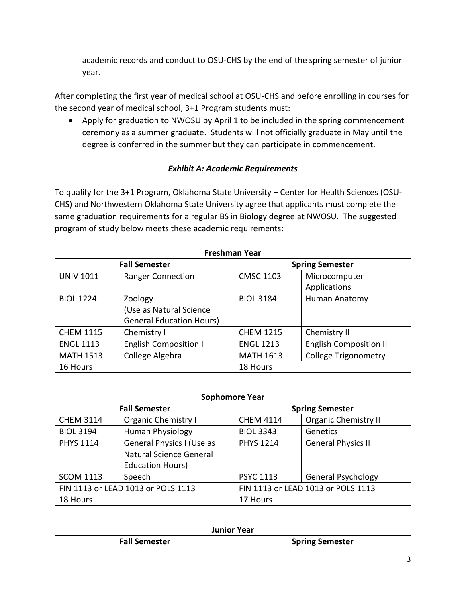academic records and conduct to OSU-CHS by the end of the spring semester of junior year.

After completing the first year of medical school at OSU-CHS and before enrolling in courses for the second year of medical school, 3+1 Program students must:

• Apply for graduation to NWOSU by April 1 to be included in the spring commencement ceremony as a summer graduate. Students will not officially graduate in May until the degree is conferred in the summer but they can participate in commencement.

## *Exhibit A: Academic Requirements*

To qualify for the 3+1 Program, Oklahoma State University – Center for Health Sciences (OSU-CHS) and Northwestern Oklahoma State University agree that applicants must complete the same graduation requirements for a regular BS in Biology degree at NWOSU. The suggested program of study below meets these academic requirements:

| <b>Freshman Year</b> |                                 |                        |                               |  |  |
|----------------------|---------------------------------|------------------------|-------------------------------|--|--|
| <b>Fall Semester</b> |                                 | <b>Spring Semester</b> |                               |  |  |
| <b>UNIV 1011</b>     | <b>Ranger Connection</b>        | <b>CMSC 1103</b>       | Microcomputer                 |  |  |
|                      |                                 |                        | Applications                  |  |  |
| <b>BIOL 1224</b>     | Zoology                         | <b>BIOL 3184</b>       | Human Anatomy                 |  |  |
|                      | (Use as Natural Science         |                        |                               |  |  |
|                      | <b>General Education Hours)</b> |                        |                               |  |  |
| <b>CHEM 1115</b>     | Chemistry I                     | <b>CHEM 1215</b>       | Chemistry II                  |  |  |
| <b>ENGL 1113</b>     | <b>English Composition I</b>    | <b>ENGL 1213</b>       | <b>English Composition II</b> |  |  |
| <b>MATH 1513</b>     | College Algebra                 | <b>MATH 1613</b>       | <b>College Trigonometry</b>   |  |  |
| 16 Hours             |                                 | 18 Hours               |                               |  |  |

| <b>Sophomore Year</b>              |                            |                                    |                             |  |  |
|------------------------------------|----------------------------|------------------------------------|-----------------------------|--|--|
| <b>Fall Semester</b>               |                            | <b>Spring Semester</b>             |                             |  |  |
| <b>CHEM 3114</b>                   | <b>Organic Chemistry I</b> | <b>CHEM 4114</b>                   | <b>Organic Chemistry II</b> |  |  |
| <b>BIOL 3194</b>                   | Human Physiology           | <b>BIOL 3343</b>                   | Genetics                    |  |  |
| <b>PHYS 1114</b>                   | General Physics I (Use as  | <b>PHYS 1214</b>                   | <b>General Physics II</b>   |  |  |
|                                    | Natural Science General    |                                    |                             |  |  |
|                                    | <b>Education Hours)</b>    |                                    |                             |  |  |
| <b>SCOM 1113</b>                   | Speech                     | <b>PSYC 1113</b>                   | <b>General Psychology</b>   |  |  |
| FIN 1113 or LEAD 1013 or POLS 1113 |                            | FIN 1113 or LEAD 1013 or POLS 1113 |                             |  |  |
| 18 Hours                           |                            | 17 Hours                           |                             |  |  |

| <b>Junior Year</b>   |                        |  |  |  |
|----------------------|------------------------|--|--|--|
| <b>Fall Semester</b> | <b>Spring Semester</b> |  |  |  |